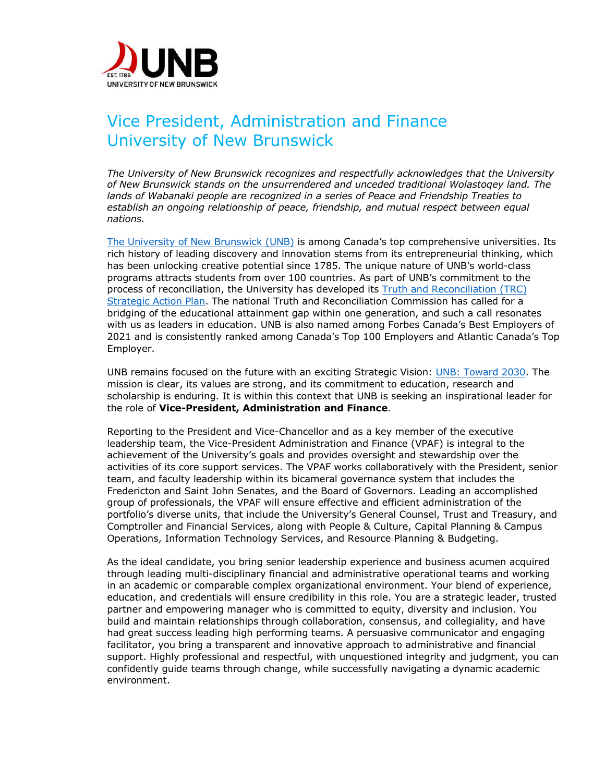

## Vice President, Administration and Finance University of New Brunswick

*The University of New Brunswick recognizes and respectfully acknowledges that the University of New Brunswick stands on the unsurrendered and unceded traditional Wolastoqey land. The lands of Wabanaki people are recognized in a series of Peace and Friendship Treaties to establish an ongoing relationship of peace, friendship, and mutual respect between equal nations.* 

The University of New Brunswick (UNB) is among Canada's top comprehensive universities. Its rich history of leading discovery and innovation stems from its entrepreneurial thinking, which has been unlocking creative potential since 1785. The unique nature of UNB's world-class programs attracts students from over 100 countries. As part of UNB's commitment to the process of reconciliation, the University has developed its Truth and Reconciliation (TRC) Strategic Action Plan. The national Truth and Reconciliation Commission has called for a bridging of the educational attainment gap within one generation, and such a call resonates with us as leaders in education. UNB is also named among Forbes Canada's Best Employers of 2021 and is consistently ranked among Canada's Top 100 Employers and Atlantic Canada's Top Employer.

UNB remains focused on the future with an exciting Strategic Vision: UNB: Toward 2030. The mission is clear, its values are strong, and its commitment to education, research and scholarship is enduring. It is within this context that UNB is seeking an inspirational leader for the role of **Vice-President, Administration and Finance**.

Reporting to the President and Vice-Chancellor and as a key member of the executive leadership team, the Vice-President Administration and Finance (VPAF) is integral to the achievement of the University's goals and provides oversight and stewardship over the activities of its core support services. The VPAF works collaboratively with the President, senior team, and faculty leadership within its bicameral governance system that includes the Fredericton and Saint John Senates, and the Board of Governors. Leading an accomplished group of professionals, the VPAF will ensure effective and efficient administration of the portfolio's diverse units, that include the University's General Counsel, Trust and Treasury, and Comptroller and Financial Services, along with People & Culture, Capital Planning & Campus Operations, Information Technology Services, and Resource Planning & Budgeting.

As the ideal candidate, you bring senior leadership experience and business acumen acquired through leading multi-disciplinary financial and administrative operational teams and working in an academic or comparable complex organizational environment. Your blend of experience, education, and credentials will ensure credibility in this role. You are a strategic leader, trusted partner and empowering manager who is committed to equity, diversity and inclusion. You build and maintain relationships through collaboration, consensus, and collegiality, and have had great success leading high performing teams. A persuasive communicator and engaging facilitator, you bring a transparent and innovative approach to administrative and financial support. Highly professional and respectful, with unquestioned integrity and judgment, you can confidently guide teams through change, while successfully navigating a dynamic academic environment.